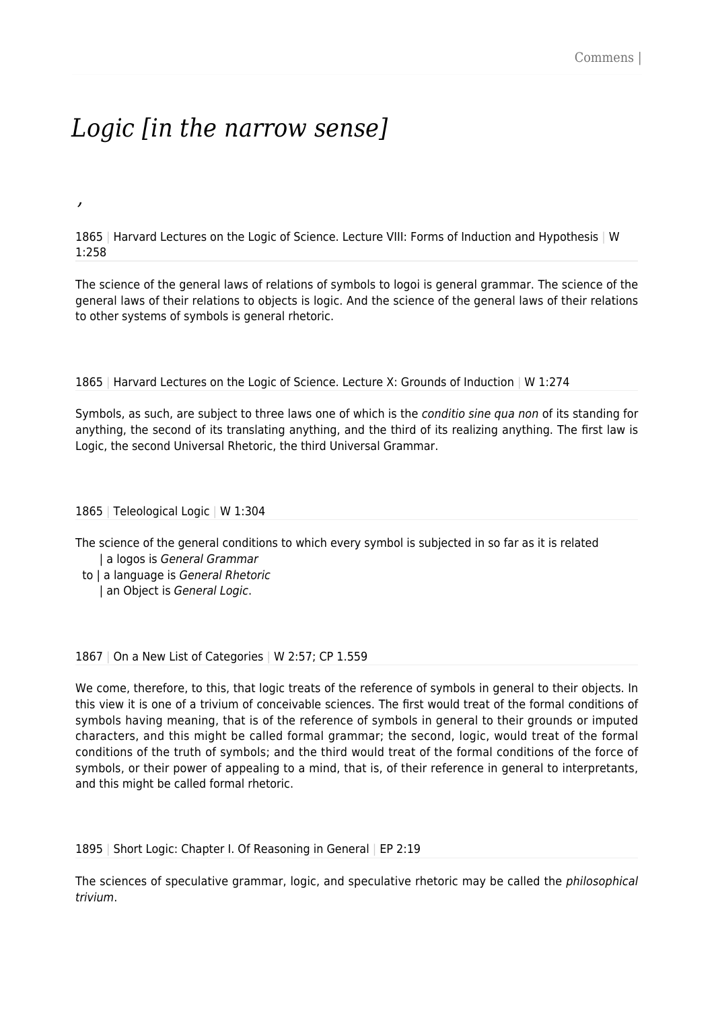# *Logic [in the narrow sense]*

*,*

1865 | Harvard Lectures on the Logic of Science. Lecture VIII: Forms of Induction and Hypothesis | W 1:258

The science of the general laws of relations of symbols to logoi is general grammar. The science of the general laws of their relations to objects is logic. And the science of the general laws of their relations to other systems of symbols is general rhetoric.

1865 | Harvard Lectures on the Logic of Science. Lecture X: Grounds of Induction | W 1:274

Symbols, as such, are subject to three laws one of which is the *conditio sine qua non* of its standing for anything, the second of its translating anything, and the third of its realizing anything. The first law is Logic, the second Universal Rhetoric, the third Universal Grammar.

1865 | Teleological Logic | W 1:304

The science of the general conditions to which every symbol is subjected in so far as it is related | a logos is General Grammar

 to | a language is General Rhetoric | an Object is General Logic.

1867 | On a New List of Categories | W 2:57; CP 1.559

We come, therefore, to this, that logic treats of the reference of symbols in general to their objects. In this view it is one of a trivium of conceivable sciences. The first would treat of the formal conditions of symbols having meaning, that is of the reference of symbols in general to their grounds or imputed characters, and this might be called formal grammar; the second, logic, would treat of the formal conditions of the truth of symbols; and the third would treat of the formal conditions of the force of symbols, or their power of appealing to a mind, that is, of their reference in general to interpretants, and this might be called formal rhetoric.

1895 | Short Logic: Chapter I. Of Reasoning in General | EP 2:19

The sciences of speculative grammar, logic, and speculative rhetoric may be called the philosophical trivium.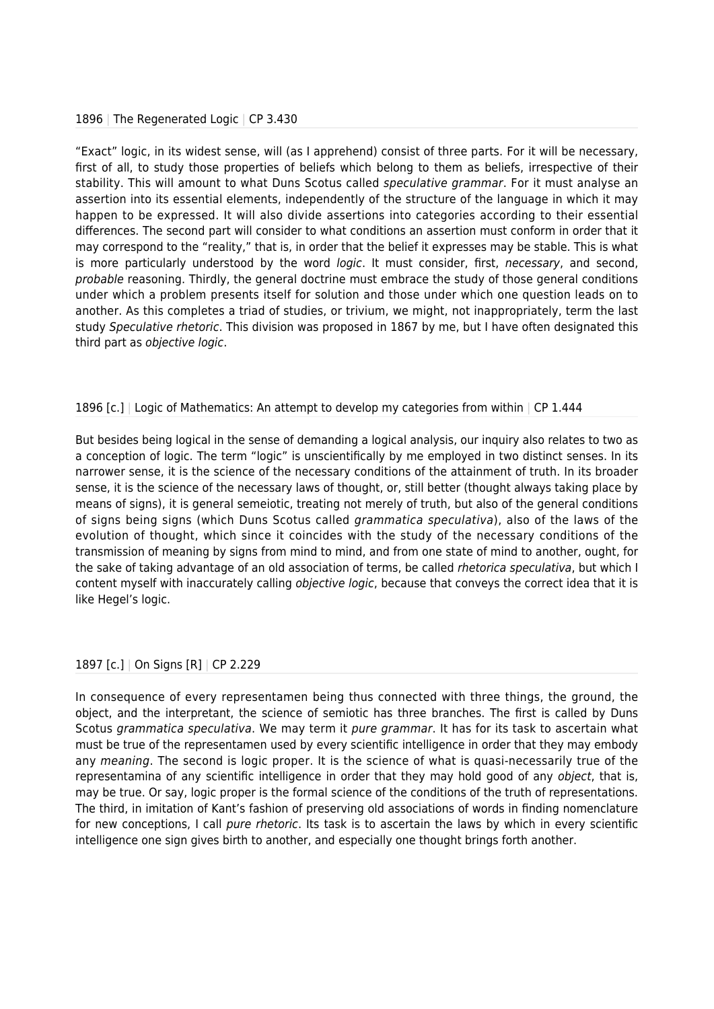#### 1896 | The Regenerated Logic | CP 3.430

"Exact" logic, in its widest sense, will (as I apprehend) consist of three parts. For it will be necessary, first of all, to study those properties of beliefs which belong to them as beliefs, irrespective of their stability. This will amount to what Duns Scotus called speculative grammar. For it must analyse an assertion into its essential elements, independently of the structure of the language in which it may happen to be expressed. It will also divide assertions into categories according to their essential differences. The second part will consider to what conditions an assertion must conform in order that it may correspond to the "reality," that is, in order that the belief it expresses may be stable. This is what is more particularly understood by the word *logic*. It must consider, first, necessary, and second, probable reasoning. Thirdly, the general doctrine must embrace the study of those general conditions under which a problem presents itself for solution and those under which one question leads on to another. As this completes a triad of studies, or trivium, we might, not inappropriately, term the last study Speculative rhetoric. This division was proposed in 1867 by me, but I have often designated this third part as objective logic.

## 1896 [c.] | Logic of Mathematics: An attempt to develop my categories from within | CP 1.444

But besides being logical in the sense of demanding a logical analysis, our inquiry also relates to two as a conception of logic. The term "logic" is unscientifically by me employed in two distinct senses. In its narrower sense, it is the science of the necessary conditions of the attainment of truth. In its broader sense, it is the science of the necessary laws of thought, or, still better (thought always taking place by means of signs), it is general semeiotic, treating not merely of truth, but also of the general conditions of signs being signs (which Duns Scotus called grammatica speculativa), also of the laws of the evolution of thought, which since it coincides with the study of the necessary conditions of the transmission of meaning by signs from mind to mind, and from one state of mind to another, ought, for the sake of taking advantage of an old association of terms, be called *rhetorica speculativa*, but which I content myself with inaccurately calling objective logic, because that conveys the correct idea that it is like Hegel's logic.

### 1897 [c.] | On Signs [R] | CP 2.229

In consequence of every representamen being thus connected with three things, the ground, the object, and the interpretant, the science of semiotic has three branches. The first is called by Duns Scotus grammatica speculativa. We may term it pure grammar. It has for its task to ascertain what must be true of the representamen used by every scientific intelligence in order that they may embody any meaning. The second is logic proper. It is the science of what is quasi-necessarily true of the representamina of any scientific intelligence in order that they may hold good of any object, that is, may be true. Or say, logic proper is the formal science of the conditions of the truth of representations. The third, in imitation of Kant's fashion of preserving old associations of words in finding nomenclature for new conceptions, I call pure rhetoric. Its task is to ascertain the laws by which in every scientific intelligence one sign gives birth to another, and especially one thought brings forth another.